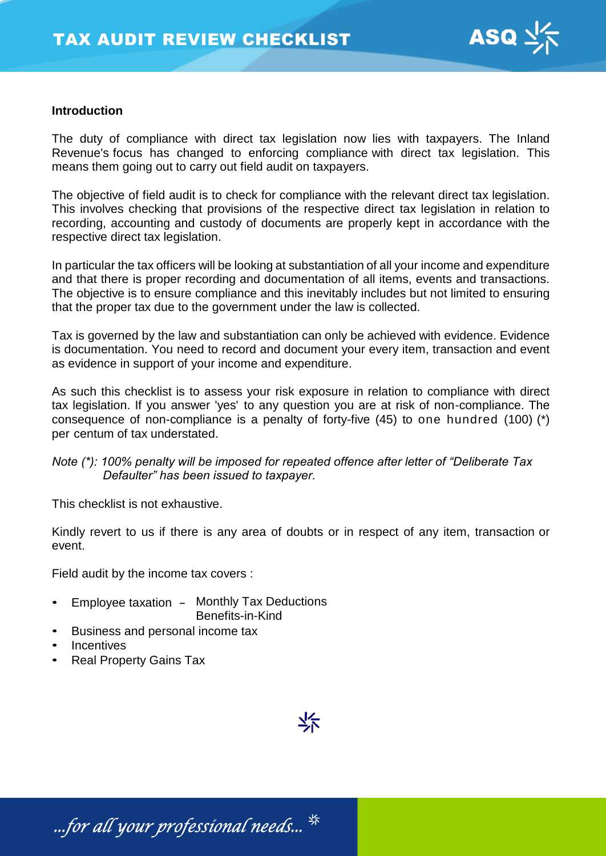

### **Introduction**

The duty of compliance with direct tax legislation now lies with taxpayers. The Inland Revenue's focus has changed to enforcing compliance with direct tax legislation. This means them going out to carry out field audit on taxpayers.

The objective of field audit is to check for compliance with the relevant direct tax legislation. This involves checking that provisions of the respective direct tax legislation in relation to recording, accounting and custody of documents are properly kept in accordance with the respective direct tax legislation.

In particular the tax officers will be looking at substantiation of all your income and expenditure and that there is proper recording and documentation of all items, events and transactions. The objective is to ensure compliance and this inevitably includes but not limited to ensuring that the proper tax due to the government under the law is collected.

Tax is governed by the law and substantiation can only be achieved with evidence. Evidence is documentation. You need to record and document your every item, transaction and event as evidence in support of your income and expenditure.

As such this checklist is to assess your risk exposure in relation to compliance with direct tax legislation. If you answer 'yes' to any question you are at risk of non-compliance. The consequence of non-compliance is a penalty of forty-five (45) to one hundred (100) (\*) per centum of tax understated.

## *Note (\*): 100% penalty will be imposed for repeated offence after letter of "Deliberate Tax Defaulter" has been issued to taxpayer.*

This checklist is not exhaustive.

Kindly revert to us if there is any area of doubts or in respect of any item, transaction or event.

Field audit by the income tax covers :

- Employee taxation Monthly Tax Deductions Benefits-in-Kind
- Business and personal income tax
- **Incentives**
- Real Property Gains Tax



...for all your professional needs...  $^{\frac{4}{35}}$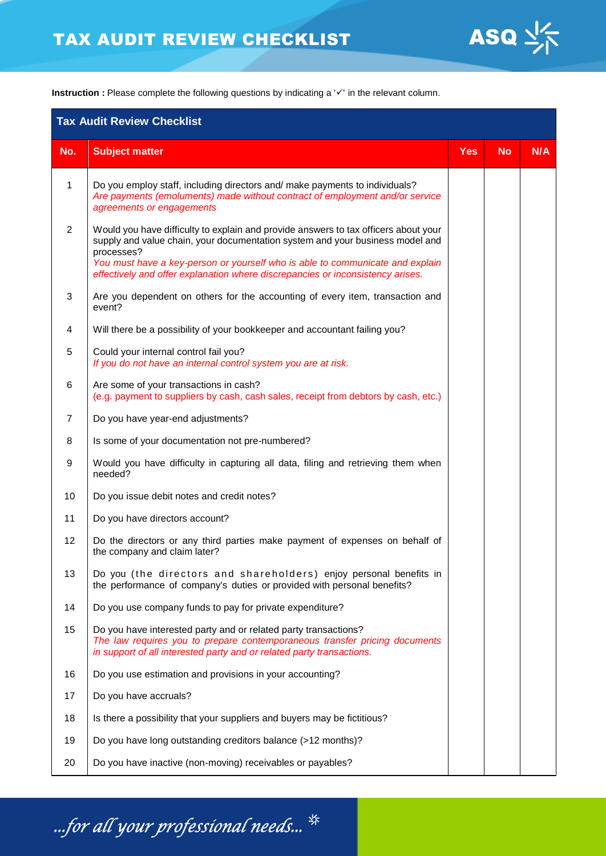

**Instruction :** Please complete the following questions by indicating a '✓' in the relevant column.

| <b>Tax Audit Review Checklist</b> |                                                                                                                                                                                                                                                                                                                                                       |            |           |     |  |  |
|-----------------------------------|-------------------------------------------------------------------------------------------------------------------------------------------------------------------------------------------------------------------------------------------------------------------------------------------------------------------------------------------------------|------------|-----------|-----|--|--|
| No.                               | <b>Subject matter</b>                                                                                                                                                                                                                                                                                                                                 | <b>Yes</b> | <b>No</b> | N/A |  |  |
| 1                                 | Do you employ staff, including directors and/ make payments to individuals?<br>Are payments (emoluments) made without contract of employment and/or service<br>agreements or engagements                                                                                                                                                              |            |           |     |  |  |
| $\overline{2}$                    | Would you have difficulty to explain and provide answers to tax officers about your<br>supply and value chain, your documentation system and your business model and<br>processes?<br>You must have a key-person or yourself who is able to communicate and explain<br>effectively and offer explanation where discrepancies or inconsistency arises. |            |           |     |  |  |
| 3                                 | Are you dependent on others for the accounting of every item, transaction and<br>event?                                                                                                                                                                                                                                                               |            |           |     |  |  |
| 4                                 | Will there be a possibility of your bookkeeper and accountant failing you?                                                                                                                                                                                                                                                                            |            |           |     |  |  |
| 5                                 | Could your internal control fail you?<br>If you do not have an internal control system you are at risk.                                                                                                                                                                                                                                               |            |           |     |  |  |
| 6                                 | Are some of your transactions in cash?<br>(e.g. payment to suppliers by cash, cash sales, receipt from debtors by cash, etc.)                                                                                                                                                                                                                         |            |           |     |  |  |
| $\overline{7}$                    | Do you have year-end adjustments?                                                                                                                                                                                                                                                                                                                     |            |           |     |  |  |
| 8                                 | Is some of your documentation not pre-numbered?                                                                                                                                                                                                                                                                                                       |            |           |     |  |  |
| 9                                 | Would you have difficulty in capturing all data, filing and retrieving them when<br>needed?                                                                                                                                                                                                                                                           |            |           |     |  |  |
| 10                                | Do you issue debit notes and credit notes?                                                                                                                                                                                                                                                                                                            |            |           |     |  |  |
| 11                                | Do you have directors account?                                                                                                                                                                                                                                                                                                                        |            |           |     |  |  |
| 12                                | Do the directors or any third parties make payment of expenses on behalf of<br>the company and claim later?                                                                                                                                                                                                                                           |            |           |     |  |  |
| 13                                | Do you (the directors and shareholders) enjoy personal benefits in<br>the performance of company's duties or provided with personal benefits?                                                                                                                                                                                                         |            |           |     |  |  |
| 14                                | Do you use company funds to pay for private expenditure?                                                                                                                                                                                                                                                                                              |            |           |     |  |  |
| 15                                | Do you have interested party and or related party transactions?<br>The law requires you to prepare contemporaneous transfer pricing documents<br>in support of all interested party and or related party transactions.                                                                                                                                |            |           |     |  |  |
| 16                                | Do you use estimation and provisions in your accounting?                                                                                                                                                                                                                                                                                              |            |           |     |  |  |
| 17                                | Do you have accruals?                                                                                                                                                                                                                                                                                                                                 |            |           |     |  |  |
| 18                                | Is there a possibility that your suppliers and buyers may be fictitious?                                                                                                                                                                                                                                                                              |            |           |     |  |  |
| 19                                | Do you have long outstanding creditors balance (>12 months)?                                                                                                                                                                                                                                                                                          |            |           |     |  |  |
| 20                                | Do you have inactive (non-moving) receivables or payables?                                                                                                                                                                                                                                                                                            |            |           |     |  |  |

...for all your professional needs...  $^{\frac{4}{35}}$